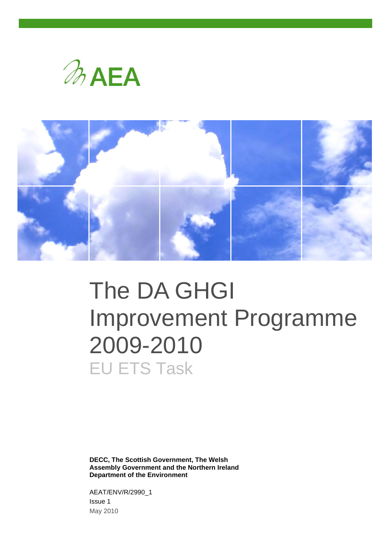



# The DA GHGI Improvement Programme 2009-2010 EU ETS Task

**DECC, The Scottish Government, The Welsh Assembly Government and the Northern Ireland Department of the Environment**

AEAT/ENV/R/2990\_1 Issue 1 May 2010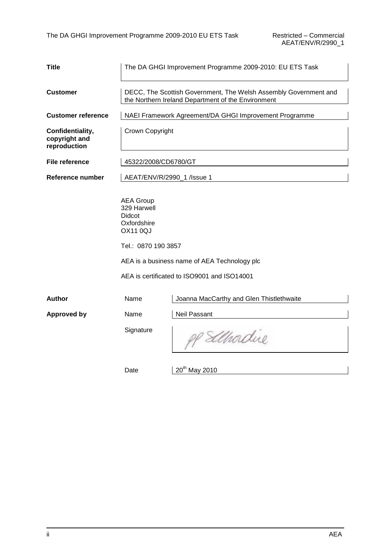| <b>Title</b>                                      | The DA GHGI Improvement Programme 2009-2010: EU ETS Task                                                  |                                                                                                                        |  |  |  |
|---------------------------------------------------|-----------------------------------------------------------------------------------------------------------|------------------------------------------------------------------------------------------------------------------------|--|--|--|
| <b>Customer</b>                                   |                                                                                                           | DECC, The Scottish Government, The Welsh Assembly Government and<br>the Northern Ireland Department of the Environment |  |  |  |
| <b>Customer reference</b>                         |                                                                                                           | NAEI Framework Agreement/DA GHGI Improvement Programme                                                                 |  |  |  |
| Confidentiality,<br>copyright and<br>reproduction | Crown Copyright                                                                                           |                                                                                                                        |  |  |  |
| <b>File reference</b>                             | 45322/2008/CD6780/GT                                                                                      |                                                                                                                        |  |  |  |
| Reference number                                  | AEAT/ENV/R/2990_1 /lssue 1                                                                                |                                                                                                                        |  |  |  |
|                                                   | <b>AEA Group</b><br>329 Harwell<br><b>Didcot</b><br>Oxfordshire<br><b>OX11 0QJ</b><br>Tel.: 0870 190 3857 | AEA is a business name of AEA Technology plc<br>AEA is certificated to ISO9001 and ISO14001                            |  |  |  |
| <b>Author</b>                                     | Name                                                                                                      | Joanna MacCarthy and Glen Thistlethwaite                                                                               |  |  |  |
| <b>Approved by</b>                                | Name                                                                                                      | <b>Neil Passant</b>                                                                                                    |  |  |  |
|                                                   | Signature                                                                                                 | Elhodue                                                                                                                |  |  |  |
|                                                   | Date                                                                                                      | 20 <sup>th</sup> May 2010                                                                                              |  |  |  |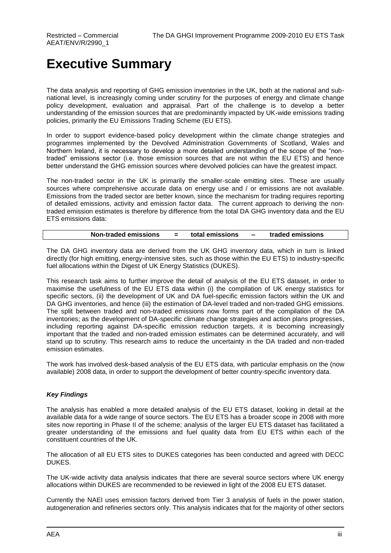## **Executive Summary**

The data analysis and reporting of GHG emission inventories in the UK, both at the national and subnational level, is increasingly coming under scrutiny for the purposes of energy and climate change policy development, evaluation and appraisal. Part of the challenge is to develop a better understanding of the emission sources that are predominantly impacted by UK-wide emissions trading policies, primarily the EU Emissions Trading Scheme (EU ETS).

In order to support evidence-based policy development within the climate change strategies and programmes implemented by the Devolved Administration Governments of Scotland, Wales and Northern Ireland, it is necessary to develop a more detailed understanding of the scope of the "nontraded" emissions sector (i.e. those emission sources that are not within the EU ETS) and hence better understand the GHG emission sources where devolved policies can have the greatest impact.

The non-traded sector in the UK is primarily the smaller-scale emitting sites. These are usually sources where comprehensive accurate data on energy use and / or emissions are not available. Emissions from the traded sector are better known, since the mechanism for trading requires reporting of detailed emissions, activity and emission factor data. The current approach to deriving the nontraded emission estimates is therefore by difference from the total DA GHG inventory data and the EU ETS emissions data:

| <b>Non-traded emissions</b> | total emissions | traded emissions |
|-----------------------------|-----------------|------------------|
|                             |                 |                  |

The DA GHG inventory data are derived from the UK GHG inventory data, which in turn is linked directly (for high emitting, energy-intensive sites, such as those within the EU ETS) to industry-specific fuel allocations within the Digest of UK Energy Statistics (DUKES).

This research task aims to further improve the detail of analysis of the EU ETS dataset, in order to maximise the usefulness of the EU ETS data within (i) the compilation of UK energy statistics for specific sectors, (ii) the development of UK and DA fuel-specific emission factors within the UK and DA GHG inventories, and hence (iii) the estimation of DA-level traded and non-traded GHG emissions. The split between traded and non-traded emissions now forms part of the compilation of the DA inventories; as the development of DA-specific climate change strategies and action plans progresses, including reporting against DA-specific emission reduction targets, it is becoming increasingly important that the traded and non-traded emission estimates can be determined accurately, and will stand up to scrutiny. This research aims to reduce the uncertainty in the DA traded and non-traded emission estimates.

The work has involved desk-based analysis of the EU ETS data, with particular emphasis on the (now available) 2008 data, in order to support the development of better country-specific inventory data.

#### *Key Findings*

The analysis has enabled a more detailed analysis of the EU ETS dataset, looking in detail at the available data for a wide range of source sectors. The EU ETS has a broader scope in 2008 with more sites now reporting in Phase II of the scheme; analysis of the larger EU ETS dataset has facilitated a greater understanding of the emissions and fuel quality data from EU ETS within each of the constituent countries of the UK.

The allocation of all EU ETS sites to DUKES categories has been conducted and agreed with DECC DUKES.

The UK-wide activity data analysis indicates that there are several source sectors where UK energy allocations within DUKES are recommended to be reviewed in light of the 2008 EU ETS dataset.

Currently the NAEI uses emission factors derived from Tier 3 analysis of fuels in the power station, autogeneration and refineries sectors only. This analysis indicates that for the majority of other sectors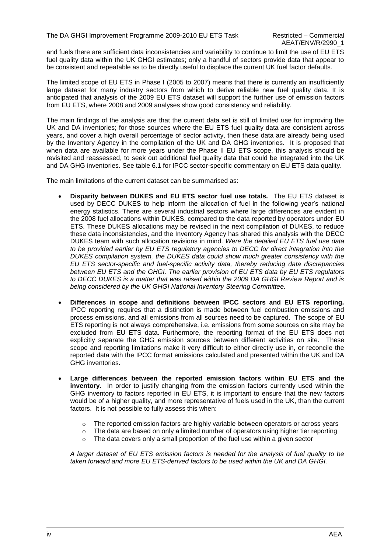and fuels there are sufficient data inconsistencies and variability to continue to limit the use of EU ETS fuel quality data within the UK GHGI estimates; only a handful of sectors provide data that appear to be consistent and repeatable as to be directly useful to displace the current UK fuel factor defaults.

The limited scope of EU ETS in Phase I (2005 to 2007) means that there is currently an insufficiently large dataset for many industry sectors from which to derive reliable new fuel quality data. It is anticipated that analysis of the 2009 EU ETS dataset will support the further use of emission factors from EU ETS, where 2008 and 2009 analyses show good consistency and reliability.

The main findings of the analysis are that the current data set is still of limited use for improving the UK and DA inventories; for those sources where the EU ETS fuel quality data are consistent across years, and cover a high overall percentage of sector activity, then these data are already being used by the Inventory Agency in the compilation of the UK and DA GHG inventories. It is proposed that when data are available for more years under the Phase II EU ETS scope, this analysis should be revisited and reassessed, to seek out additional fuel quality data that could be integrated into the UK and DA GHG inventories. See table 6.1 for IPCC sector-specific commentary on EU ETS data quality.

The main limitations of the current dataset can be summarised as:

- **Disparity between DUKES and EU ETS sector fuel use totals.** The EU ETS dataset is used by DECC DUKES to help inform the allocation of fuel in the following year's national energy statistics. There are several industrial sectors where large differences are evident in the 2008 fuel allocations within DUKES, compared to the data reported by operators under EU ETS. These DUKES allocations may be revised in the next compilation of DUKES, to reduce these data inconsistencies, and the Inventory Agency has shared this analysis with the DECC DUKES team with such allocation revisions in mind. *Were the detailed EU ETS fuel use data to be provided earlier by EU ETS regulatory agencies to DECC for direct integration into the DUKES compilation system, the DUKES data could show much greater consistency with the EU ETS sector-specific and fuel-specific activity data, thereby reducing data discrepancies between EU ETS and the GHGI. The earlier provision of EU ETS data by EU ETS regulators to DECC DUKES is a matter that was raised within the 2009 DA GHGI Review Report and is being considered by the UK GHGI National Inventory Steering Committee.*
- **Differences in scope and definitions between IPCC sectors and EU ETS reporting.** IPCC reporting requires that a distinction is made between fuel combustion emissions and process emissions, and all emissions from all sources need to be captured. The scope of EU ETS reporting is not always comprehensive, i.e. emissions from some sources on site may be excluded from EU ETS data. Furthermore, the reporting format of the EU ETS does not explicitly separate the GHG emission sources between different activities on site. These scope and reporting limitations make it very difficult to either directly use in, or reconcile the reported data with the IPCC format emissions calculated and presented within the UK and DA GHG inventories.
- **Large differences between the reported emission factors within EU ETS and the inventory**. In order to justify changing from the emission factors currently used within the GHG inventory to factors reported in EU ETS, it is important to ensure that the new factors would be of a higher quality, and more representative of fuels used in the UK, than the current factors. It is not possible to fully assess this when:
	- $\circ$  The reported emission factors are highly variable between operators or across years
	- $\circ$  The data are based on only a limited number of operators using higher tier reporting
	- $\circ$  The data covers only a small proportion of the fuel use within a given sector

*A larger dataset of EU ETS emission factors is needed for the analysis of fuel quality to be taken forward and more EU ETS-derived factors to be used within the UK and DA GHGI.*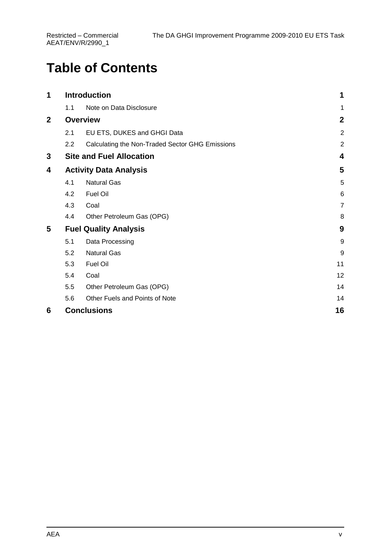# **Table of Contents**

| 1                       |     | <b>Introduction</b>                             | 1                |
|-------------------------|-----|-------------------------------------------------|------------------|
|                         | 1.1 | Note on Data Disclosure                         | 1                |
| $\overline{\mathbf{2}}$ |     | <b>Overview</b>                                 | $\boldsymbol{2}$ |
|                         | 2.1 | EU ETS, DUKES and GHGI Data                     | $\overline{2}$   |
|                         | 2.2 | Calculating the Non-Traded Sector GHG Emissions | $\boldsymbol{2}$ |
| 3                       |     | <b>Site and Fuel Allocation</b>                 | 4                |
| 4                       |     | <b>Activity Data Analysis</b>                   | 5                |
|                         | 4.1 | <b>Natural Gas</b>                              | 5                |
|                         | 4.2 | <b>Fuel Oil</b>                                 | 6                |
|                         | 4.3 | Coal                                            | $\overline{7}$   |
|                         | 4.4 | Other Petroleum Gas (OPG)                       | 8                |
| 5                       |     | <b>Fuel Quality Analysis</b>                    | 9                |
|                         | 5.1 | Data Processing                                 | $\boldsymbol{9}$ |
|                         | 5.2 | <b>Natural Gas</b>                              | $\boldsymbol{9}$ |
|                         | 5.3 | Fuel Oil                                        | 11               |
|                         | 5.4 | Coal                                            | 12               |
|                         | 5.5 | Other Petroleum Gas (OPG)                       | 14               |
|                         | 5.6 | Other Fuels and Points of Note                  | 14               |
| 6                       |     | <b>Conclusions</b>                              | 16               |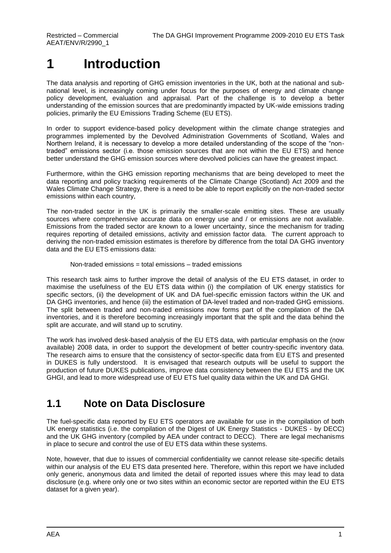# <span id="page-6-0"></span>**1 Introduction**

The data analysis and reporting of GHG emission inventories in the UK, both at the national and subnational level, is increasingly coming under focus for the purposes of energy and climate change policy development, evaluation and appraisal. Part of the challenge is to develop a better understanding of the emission sources that are predominantly impacted by UK-wide emissions trading policies, primarily the EU Emissions Trading Scheme (EU ETS).

In order to support evidence-based policy development within the climate change strategies and programmes implemented by the Devolved Administration Governments of Scotland, Wales and Northern Ireland, it is necessary to develop a more detailed understanding of the scope of the "nontraded" emissions sector (i.e. those emission sources that are not within the EU ETS) and hence better understand the GHG emission sources where devolved policies can have the greatest impact.

Furthermore, within the GHG emission reporting mechanisms that are being developed to meet the data reporting and policy tracking requirements of the Climate Change (Scotland) Act 2009 and the Wales Climate Change Strategy, there is a need to be able to report explicitly on the non-traded sector emissions within each country,

The non-traded sector in the UK is primarily the smaller-scale emitting sites. These are usually sources where comprehensive accurate data on energy use and / or emissions are not available. Emissions from the traded sector are known to a lower uncertainty, since the mechanism for trading requires reporting of detailed emissions, activity and emission factor data. The current approach to deriving the non-traded emission estimates is therefore by difference from the total DA GHG inventory data and the EU ETS emissions data:

#### Non-traded emissions = total emissions – traded emissions

This research task aims to further improve the detail of analysis of the EU ETS dataset, in order to maximise the usefulness of the EU ETS data within (i) the compilation of UK energy statistics for specific sectors, (ii) the development of UK and DA fuel-specific emission factors within the UK and DA GHG inventories, and hence (iii) the estimation of DA-level traded and non-traded GHG emissions. The split between traded and non-traded emissions now forms part of the compilation of the DA inventories, and it is therefore becoming increasingly important that the split and the data behind the split are accurate, and will stand up to scrutiny.

The work has involved desk-based analysis of the EU ETS data, with particular emphasis on the (now available) 2008 data, in order to support the development of better country-specific inventory data. The research aims to ensure that the consistency of sector-specific data from EU ETS and presented in DUKES is fully understood. It is envisaged that research outputs will be useful to support the production of future DUKES publications, improve data consistency between the EU ETS and the UK GHGI, and lead to more widespread use of EU ETS fuel quality data within the UK and DA GHGI.

### <span id="page-6-1"></span>**1.1 Note on Data Disclosure**

The fuel-specific data reported by EU ETS operators are available for use in the compilation of both UK energy statistics (i.e. the compilation of the Digest of UK Energy Statistics - DUKES - by DECC) and the UK GHG inventory (compiled by AEA under contract to DECC). There are legal mechanisms in place to secure and control the use of EU ETS data within these systems.

Note, however, that due to issues of commercial confidentiality we cannot release site-specific details within our analysis of the EU ETS data presented here. Therefore, within this report we have included only generic, anonymous data and limited the detail of reported issues where this may lead to data disclosure (e.g. where only one or two sites within an economic sector are reported within the EU ETS dataset for a given year).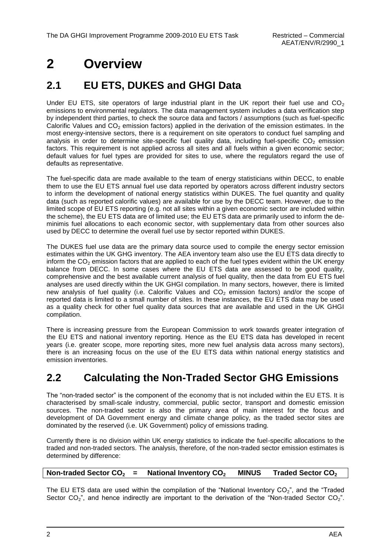# <span id="page-7-0"></span>**2 Overview**

### <span id="page-7-1"></span>**2.1 EU ETS, DUKES and GHGI Data**

Under EU ETS, site operators of large industrial plant in the UK report their fuel use and  $CO<sub>2</sub>$ emissions to environmental regulators. The data management system includes a data verification step by independent third parties, to check the source data and factors / assumptions (such as fuel-specific Calorific Values and  $CO<sub>2</sub>$  emission factors) applied in the derivation of the emission estimates. In the most energy-intensive sectors, there is a requirement on site operators to conduct fuel sampling and analysis in order to determine site-specific fuel quality data, including fuel-specific  $CO<sub>2</sub>$  emission factors. This requirement is not applied across all sites and all fuels within a given economic sector; default values for fuel types are provided for sites to use, where the regulators regard the use of defaults as representative.

The fuel-specific data are made available to the team of energy statisticians within DECC, to enable them to use the EU ETS annual fuel use data reported by operators across different industry sectors to inform the development of national energy statistics within DUKES. The fuel quantity and quality data (such as reported calorific values) are available for use by the DECC team. However, due to the limited scope of EU ETS reporting (e.g. not all sites within a given economic sector are included within the scheme), the EU ETS data are of limited use; the EU ETS data are primarily used to inform the deminimis fuel allocations to each economic sector, with supplementary data from other sources also used by DECC to determine the overall fuel use by sector reported within DUKES.

The DUKES fuel use data are the primary data source used to compile the energy sector emission estimates within the UK GHG inventory. The AEA inventory team also use the EU ETS data directly to inform the  $CO<sub>2</sub>$  emission factors that are applied to each of the fuel types evident within the UK energy balance from DECC. In some cases where the EU ETS data are assessed to be good quality, comprehensive and the best available current analysis of fuel quality, then the data from EU ETS fuel analyses are used directly within the UK GHGI compilation. In many sectors, however, there is limited new analysis of fuel quality (i.e. Calorific Values and  $CO<sub>2</sub>$  emission factors) and/or the scope of reported data is limited to a small number of sites. In these instances, the EU ETS data may be used as a quality check for other fuel quality data sources that are available and used in the UK GHGI compilation.

There is increasing pressure from the European Commission to work towards greater integration of the EU ETS and national inventory reporting. Hence as the EU ETS data has developed in recent years (i.e. greater scope, more reporting sites, more new fuel analysis data across many sectors), there is an increasing focus on the use of the EU ETS data within national energy statistics and emission inventories.

### <span id="page-7-2"></span>**2.2 Calculating the Non-Traded Sector GHG Emissions**

The "non-traded sector" is the component of the economy that is not included within the EU ETS. It is characterised by small-scale industry, commercial, public sector, transport and domestic emission sources. The non-traded sector is also the primary area of main interest for the focus and development of DA Government energy and climate change policy, as the traded sector sites are dominated by the reserved (i.e. UK Government) policy of emissions trading.

Currently there is no division within UK energy statistics to indicate the fuel-specific allocations to the traded and non-traded sectors. The analysis, therefore, of the non-traded sector emission estimates is determined by difference:

| Non-traded Sector $CO2$ = |  | National Inventory CO <sub>2</sub> |  | MINUS Traded Sector $CO2$ |
|---------------------------|--|------------------------------------|--|---------------------------|
|---------------------------|--|------------------------------------|--|---------------------------|

The EU ETS data are used within the compilation of the "National Inventory  $CO_2$ ", and the "Traded Sector  $CO_2$ <sup>"</sup>, and hence indirectly are important to the derivation of the "Non-traded Sector  $CO_2$ ".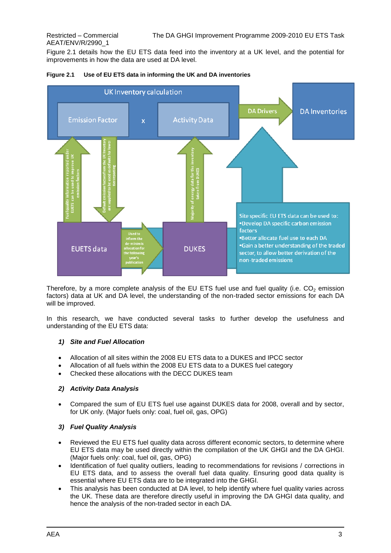Figure 2.1 details how the EU ETS data feed into the inventory at a UK level, and the potential for improvements in how the data are used at DA level.



#### **Figure 2.1 Use of EU ETS data in informing the UK and DA inventories**

Therefore, by a more complete analysis of the EU ETS fuel use and fuel quality (i.e.  $CO<sub>2</sub>$  emission factors) data at UK and DA level, the understanding of the non-traded sector emissions for each DA will be improved.

In this research, we have conducted several tasks to further develop the usefulness and understanding of the EU ETS data:

#### *1) Site and Fuel Allocation*

- Allocation of all sites within the 2008 EU ETS data to a DUKES and IPCC sector
- Allocation of all fuels within the 2008 EU ETS data to a DUKES fuel category
- Checked these allocations with the DECC DUKES team

#### *2) Activity Data Analysis*

 Compared the sum of EU ETS fuel use against DUKES data for 2008, overall and by sector, for UK only. (Major fuels only: coal, fuel oil, gas, OPG)

#### *3) Fuel Quality Analysis*

- Reviewed the EU ETS fuel quality data across different economic sectors, to determine where EU ETS data may be used directly within the compilation of the UK GHGI and the DA GHGI. (Major fuels only: coal, fuel oil, gas, OPG)
- Identification of fuel quality outliers, leading to recommendations for revisions / corrections in EU ETS data, and to assess the overall fuel data quality. Ensuring good data quality is essential where EU ETS data are to be integrated into the GHGI.
- This analysis has been conducted at DA level, to help identify where fuel quality varies across the UK. These data are therefore directly useful in improving the DA GHGI data quality, and hence the analysis of the non-traded sector in each DA.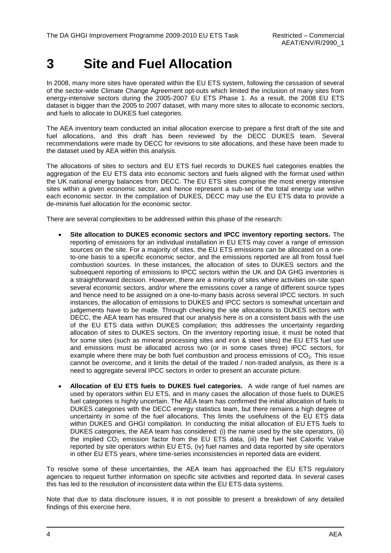# <span id="page-9-0"></span>**3 Site and Fuel Allocation**

In 2008, many more sites have operated within the EU ETS system, following the cessation of several of the sector-wide Climate Change Agreement opt-outs which limited the inclusion of many sites from energy-intensive sectors during the 2005-2007 EU ETS Phase 1. As a result, the 2008 EU ETS dataset is bigger than the 2005 to 2007 dataset, with many more sites to allocate to economic sectors, and fuels to allocate to DUKES fuel categories.

The AEA inventory team conducted an initial allocation exercise to prepare a first draft of the site and fuel allocations, and this draft has been reviewed by the DECC DUKES team. Several recommendations were made by DECC for revisions to site allocations, and these have been made to the dataset used by AEA within this analysis.

The allocations of sites to sectors and EU ETS fuel records to DUKES fuel categories enables the aggregation of the EU ETS data into economic sectors and fuels aligned with the format used within the UK national energy balances from DECC. The EU ETS sites comprise the most energy intensive sites within a given economic sector, and hence represent a sub-set of the total energy use within each economic sector. In the compilation of DUKES, DECC may use the EU ETS data to provide a de-minimis fuel allocation for the economic sector.

There are several complexities to be addressed within this phase of the research:

- **Site allocation to DUKES economic sectors and IPCC inventory reporting sectors.** The reporting of emissions for an individual installation in EU ETS may cover a range of emission sources on the site. For a majority of sites, the EU ETS emissions can be allocated on a oneto-one basis to a specific economic sector, and the emissions reported are all from fossil fuel combustion sources. In these instances, the allocation of sites to DUKES sectors and the subsequent reporting of emissions to IPCC sectors within the UK and DA GHG inventories is a straightforward decision. However, there are a minority of sites where activities on-site span several economic sectors, and/or where the emissions cover a range of different source types and hence need to be assigned on a one-to-many basis across several IPCC sectors. In such instances, the allocation of emissions to DUKES and IPCC sectors is somewhat uncertain and judgements have to be made. Through checking the site allocations to DUKES sectors with DECC, the AEA team has ensured that our analysis here is on a consistent basis with the use of the EU ETS data within DUKES compilation; this addresses the uncertainty regarding allocation of sites to DUKES sectors. On the inventory reporting issue, it must be noted that for some sites (such as mineral processing sites and iron & steel sites) the EU ETS fuel use and emissions must be allocated across two (or in some cases three) IPCC sectors, for example where there may be both fuel combustion and process emissions of  $CO<sub>2</sub>$ . This issue cannot be overcome, and it limits the detail of the traded / non-traded analysis, as there is a need to aggregate several IPCC sectors in order to present an accurate picture.
- **Allocation of EU ETS fuels to DUKES fuel categories.** A wide range of fuel names are used by operators within EU ETS, and in many cases the allocation of those fuels to DUKES fuel categories is highly uncertain. The AEA team has confirmed the initial allocation of fuels to DUKES categories with the DECC energy statistics team, but there remains a high degree of uncertainty in some of the fuel allocations. This limits the usefulness of the EU ETS data within DUKES and GHGI compilation. In conducting the initial allocation of EU ETS fuels to DUKES categories, the AEA team has considered: (i) the name used by the site operators, (ii) the implied  $CO<sub>2</sub>$  emission factor from the EU ETS data, (iii) the fuel Net Calorific Value reported by site operators within EU ETS, (iv) fuel names and data reported by site operators in other EU ETS years, where time-series inconsistencies in reported data are evident.

To resolve some of these uncertainties, the AEA team has approached the EU ETS regulatory agencies to request further information on specific site activities and reported data. In several cases this has led to the resolution of inconsistent data within the EU ETS data systems.

Note that due to data disclosure issues, it is not possible to present a breakdown of any detailed findings of this exercise here.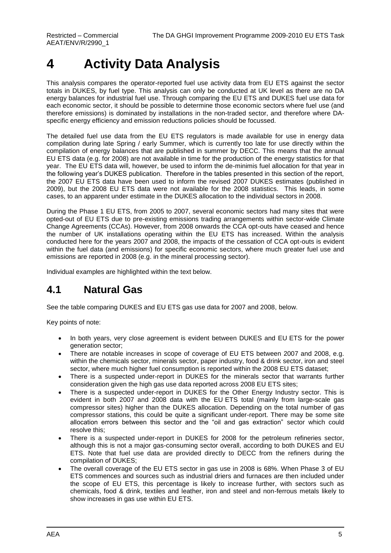# <span id="page-10-0"></span>**4 Activity Data Analysis**

This analysis compares the operator-reported fuel use activity data from EU ETS against the sector totals in DUKES, by fuel type. This analysis can only be conducted at UK level as there are no DA energy balances for industrial fuel use. Through comparing the EU ETS and DUKES fuel use data for each economic sector, it should be possible to determine those economic sectors where fuel use (and therefore emissions) is dominated by installations in the non-traded sector, and therefore where DAspecific energy efficiency and emission reductions policies should be focussed.

The detailed fuel use data from the EU ETS regulators is made available for use in energy data compilation during late Spring / early Summer, which is currently too late for use directly within the compilation of energy balances that are published in summer by DECC. This means that the annual EU ETS data (e.g. for 2008) are not available in time for the production of the energy statistics for that year. The EU ETS data will, however, be used to inform the de-minimis fuel allocation for that year in the following year's DUKES publication. Therefore in the tables presented in this section of the report, the 2007 EU ETS data have been used to inform the revised 2007 DUKES estimates (published in 2009), but the 2008 EU ETS data were not available for the 2008 statistics. This leads, in some cases, to an apparent under estimate in the DUKES allocation to the individual sectors in 2008.

During the Phase 1 EU ETS, from 2005 to 2007, several economic sectors had many sites that were opted-out of EU ETS due to pre-existing emissions trading arrangements within sector-wide Climate Change Agreements (CCAs). However, from 2008 onwards the CCA opt-outs have ceased and hence the number of UK installations operating within the EU ETS has increased. Within the analysis conducted here for the years 2007 and 2008, the impacts of the cessation of CCA opt-outs is evident within the fuel data (and emissions) for specific economic sectors, where much greater fuel use and emissions are reported in 2008 (e.g. in the mineral processing sector).

<span id="page-10-1"></span>Individual examples are highlighted within the text below.

### **4.1 Natural Gas**

See the table comparing DUKES and EU ETS gas use data for 2007 and 2008, below.

Key points of note:

- In both years, very close agreement is evident between DUKES and EU ETS for the power generation sector;
- There are notable increases in scope of coverage of EU ETS between 2007 and 2008, e.g. within the chemicals sector, minerals sector, paper industry, food & drink sector, iron and steel sector, where much higher fuel consumption is reported within the 2008 EU ETS dataset;
- There is a suspected under-report in DUKES for the minerals sector that warrants further consideration given the high gas use data reported across 2008 EU ETS sites;
- There is a suspected under-report in DUKES for the Other Energy Industry sector. This is evident in both 2007 and 2008 data with the EU ETS total (mainly from large-scale gas compressor sites) higher than the DUKES allocation. Depending on the total number of gas compressor stations, this could be quite a significant under-report. There may be some site allocation errors between this sector and the "oil and gas extraction" sector which could resolve this;
- There is a suspected under-report in DUKES for 2008 for the petroleum refineries sector, although this is not a major gas-consuming sector overall, according to both DUKES and EU ETS. Note that fuel use data are provided directly to DECC from the refiners during the compilation of DUKES;
- The overall coverage of the EU ETS sector in gas use in 2008 is 68%. When Phase 3 of EU ETS commences and sources such as industrial driers and furnaces are then included under the scope of EU ETS, this percentage is likely to increase further, with sectors such as chemicals, food & drink, textiles and leather, iron and steel and non-ferrous metals likely to show increases in gas use within EU ETS.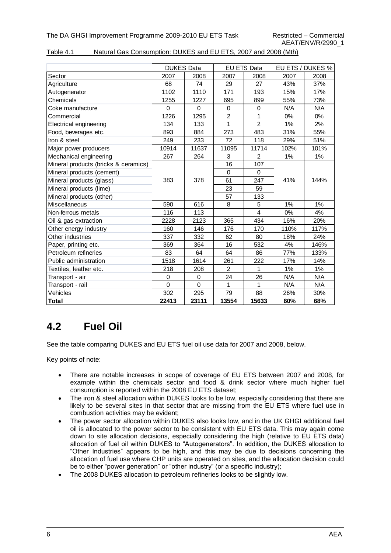| Table 4.1 | Natural Gas Consumption: DUKES and EU ETS, 2007 and 2008 (Mth) |  |
|-----------|----------------------------------------------------------------|--|
|           |                                                                |  |

|                                      | <b>DUKES Data</b> |             |                | EU ETS Data    |       | EU ETS / DUKES % |
|--------------------------------------|-------------------|-------------|----------------|----------------|-------|------------------|
| Sector                               | 2007              | 2008        | 2007           | 2008           | 2007  | 2008             |
| Agriculture                          | 68                | 74          | 29             | 27             | 43%   | 37%              |
| Autogenerator                        | 1102              | 1110        | 171            | 193            | 15%   | 17%              |
| Chemicals                            | 1255              | 1227        | 695            | 899            | 55%   | 73%              |
| Coke manufacture                     | $\Omega$          | $\Omega$    | 0              | 0              | N/A   | N/A              |
| Commercial                           | 1226              | 1295        | $\overline{2}$ | $\mathbf{1}$   | $0\%$ | 0%               |
| Electrical engineering               | 134               | 133         | 1              | $\overline{2}$ | 1%    | 2%               |
| Food, beverages etc.                 | 893               | 884         | 273            | 483            | 31%   | 55%              |
| Iron & steel                         | 249               | 233         | 72             | 118            | 29%   | 51%              |
| Major power producers                | 10914             | 11637       | 11095          | 11714          | 102%  | 101%             |
| Mechanical engineering               | 267               | 264         | 3              | 2              | $1\%$ | $1\%$            |
| Mineral products (bricks & ceramics) |                   |             | 16             | 107            |       |                  |
| Mineral products (cement)            |                   |             | $\mathbf{0}$   | $\Omega$       |       |                  |
| Mineral products (glass)             | 383               | 378         | 61             | 247            | 41%   | 144%             |
| Mineral products (lime)              |                   |             | 23             | 59             |       |                  |
| Mineral products (other)             |                   |             | 57             | 133            |       |                  |
| Miscellaneous                        | 590               | 616         | 8              | 5              | 1%    | 1%               |
| Non-ferrous metals                   | 116               | 113         |                | $\overline{4}$ | 0%    | 4%               |
| Oil & gas extraction                 | 2228              | 2123        | 365            | 434            | 16%   | 20%              |
| Other energy industry                | 160               | 146         | 176            | 170            | 110%  | 117%             |
| Other industries                     | 337               | 332         | 62             | 80             | 18%   | 24%              |
| Paper, printing etc.                 | 369               | 364         | 16             | 532            | 4%    | 146%             |
| Petroleum refineries                 | 83                | 64          | 64             | 86             | 77%   | 133%             |
| Public administration                | 1518              | 1614        | 261            | 222            | 17%   | 14%              |
| Textiles, leather etc.               | 218               | 208         | $\overline{2}$ | $\mathbf{1}$   | 1%    | $1\%$            |
| Transport - air                      | $\Omega$          | 0           | 24             | 26             | N/A   | N/A              |
| Transport - rail                     | $\mathbf 0$       | $\mathbf 0$ | 1              | $\mathbf 1$    | N/A   | N/A              |
| Vehicles                             | 302               | 295         | 79             | 88             | 26%   | 30%              |
| <b>Total</b>                         | 22413             | 23111       | 13554          | 15633          | 60%   | 68%              |

### <span id="page-11-0"></span>**4.2 Fuel Oil**

See the table comparing DUKES and EU ETS fuel oil use data for 2007 and 2008, below.

Key points of note:

- There are notable increases in scope of coverage of EU ETS between 2007 and 2008, for example within the chemicals sector and food & drink sector where much higher fuel consumption is reported within the 2008 EU ETS dataset;
- The iron & steel allocation within DUKES looks to be low, especially considering that there are likely to be several sites in that sector that are missing from the EU ETS where fuel use in combustion activities may be evident;
- The power sector allocation within DUKES also looks low, and in the UK GHGI additional fuel oil is allocated to the power sector to be consistent with EU ETS data. This may again come down to site allocation decisions, especially considering the high (relative to EU ETS data) allocation of fuel oil within DUKES to "Autogenerators". In addition, the DUKES allocation to "Other Industries" appears to be high, and this may be due to decisions concerning the allocation of fuel use where CHP units are operated on sites, and the allocation decision could be to either "power generation" or "other industry" (or a specific industry);
- The 2008 DUKES allocation to petroleum refineries looks to be slightly low.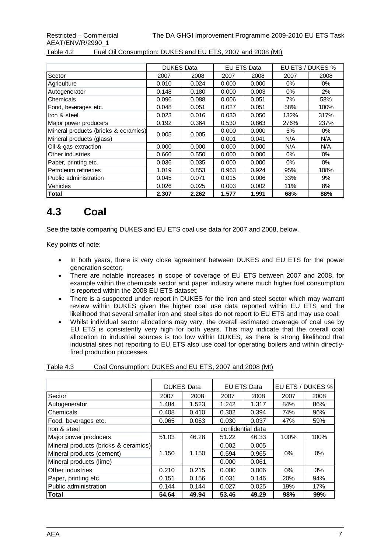#### Table 4.2 Fuel Oil Consumption: DUKES and EU ETS, 2007 and 2008 (Mt)

|                                      | <b>DUKES Data</b> |       |       | <b>EU ETS Data</b> |       | EU ETS / DUKES % |
|--------------------------------------|-------------------|-------|-------|--------------------|-------|------------------|
| Sector                               | 2007              | 2008  | 2007  | 2008               | 2007  | 2008             |
| Agriculture                          | 0.010             | 0.024 | 0.000 | 0.000              | 0%    | $0\%$            |
| Autogenerator                        | 0.148             | 0.180 | 0.000 | 0.003              | 0%    | 2%               |
| Chemicals                            | 0.096             | 0.088 | 0.006 | 0.051              | 7%    | 58%              |
| Food, beverages etc.                 | 0.048             | 0.051 | 0.027 | 0.051              | 58%   | 100%             |
| Iron & steel                         | 0.023             | 0.016 | 0.030 | 0.050              | 132%  | 317%             |
| Major power producers                | 0.192             | 0.364 | 0.530 | 0.863              | 276%  | 237%             |
| Mineral products (bricks & ceramics) | 0.005             | 0.005 | 0.000 | 0.000              | 5%    | 0%               |
| Mineral products (glass)             |                   |       | 0.001 | 0.041              | N/A   | N/A              |
| Oil & gas extraction                 | 0.000             | 0.000 | 0.000 | 0.000              | N/A   | N/A              |
| Other industries                     | 0.660             | 0.550 | 0.000 | 0.000              | $0\%$ | 0%               |
| Paper, printing etc.                 | 0.036             | 0.035 | 0.000 | 0.000              | 0%    | 0%               |
| Petroleum refineries                 | 1.019             | 0.853 | 0.963 | 0.924              | 95%   | 108%             |
| Public administration                | 0.045             | 0.071 | 0.015 | 0.006              | 33%   | 9%               |
| Vehicles                             | 0.026             | 0.025 | 0.003 | 0.002              | 11%   | 8%               |
| Total                                | 2.307             | 2.262 | 1.577 | 1.991              | 68%   | 88%              |

### <span id="page-12-0"></span>**4.3 Coal**

See the table comparing DUKES and EU ETS coal use data for 2007 and 2008, below.

Key points of note:

- In both years, there is very close agreement between DUKES and EU ETS for the power generation sector;
- There are notable increases in scope of coverage of EU ETS between 2007 and 2008, for example within the chemicals sector and paper industry where much higher fuel consumption is reported within the 2008 EU ETS dataset;
- There is a suspected under-report in DUKES for the iron and steel sector which may warrant review within DUKES given the higher coal use data reported within EU ETS and the likelihood that several smaller iron and steel sites do not report to EU ETS and may use coal;
- Whilst individual sector allocations may vary, the overall estimated coverage of coal use by EU ETS is consistently very high for both years. This may indicate that the overall coal allocation to industrial sources is too low within DUKES, as there is strong likelihood that industrial sites not reporting to EU ETS also use coal for operating boilers and within directlyfired production processes.

#### Table 4.3 Coal Consumption: DUKES and EU ETS, 2007 and 2008 (Mt)

|                                      |                   | <b>DUKES Data</b> |       | EU ETS Data |       | EU ETS / DUKES % |
|--------------------------------------|-------------------|-------------------|-------|-------------|-------|------------------|
| Sector                               | 2007              | 2008              | 2007  | 2008        | 2007  | 2008             |
| Autogenerator                        | 1.484             | 1.523             | 1.242 | 1.317       | 84%   | 86%              |
| <b>Chemicals</b>                     | 0.408             | 0.410             | 0.302 | 0.394       | 74%   | 96%              |
| Food, beverages etc.                 | 0.065             | 0.063             | 0.030 | 0.037       | 47%   | 59%              |
| Ilron & steel                        | confidential data |                   |       |             |       |                  |
| Major power producers                | 51.03             | 46.28             | 51.22 | 46.33       | 100%  | 100%             |
| Mineral products (bricks & ceramics) |                   |                   | 0.002 | 0.005       |       |                  |
| Mineral products (cement)            | 1.150             | 1.150             | 0.594 | 0.965       | 0%    | 0%               |
| Mineral products (lime)              |                   |                   | 0.000 | 0.061       |       |                  |
| <b>IOther industries</b>             | 0.210             | 0.215             | 0.000 | 0.006       | $0\%$ | 3%               |
| Paper, printing etc.                 | 0.151             | 0.156             | 0.031 | 0.146       | 20%   | 94%              |
| Public administration                | 0.144             | 0.144             | 0.027 | 0.025       | 19%   | 17%              |
| <b>Total</b>                         | 54.64             | 49.94             | 53.46 | 49.29       | 98%   | 99%              |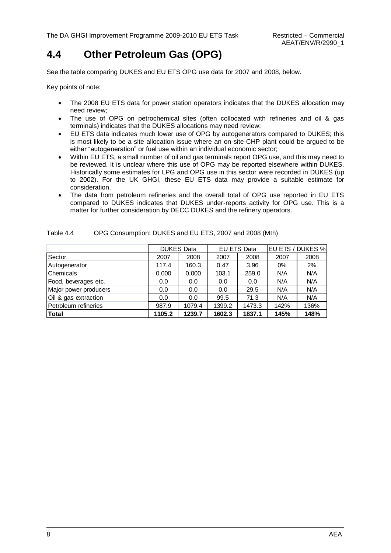### <span id="page-13-0"></span>**4.4 Other Petroleum Gas (OPG)**

See the table comparing DUKES and EU ETS OPG use data for 2007 and 2008, below.

Key points of note:

- The 2008 EU ETS data for power station operators indicates that the DUKES allocation may need review;
- The use of OPG on petrochemical sites (often collocated with refineries and oil & gas terminals) indicates that the DUKES allocations may need review;
- EU ETS data indicates much lower use of OPG by autogenerators compared to DUKES; this is most likely to be a site allocation issue where an on-site CHP plant could be argued to be either "autogeneration" or fuel use within an individual economic sector;
- Within EU ETS, a small number of oil and gas terminals report OPG use, and this may need to be reviewed. It is unclear where this use of OPG may be reported elsewhere within DUKES. Historically some estimates for LPG and OPG use in this sector were recorded in DUKES (up to 2002). For the UK GHGI, these EU ETS data may provide a suitable estimate for consideration.
- The data from petroleum refineries and the overall total of OPG use reported in EU ETS compared to DUKES indicates that DUKES under-reports activity for OPG use. This is a matter for further consideration by DECC DUKES and the refinery operators.

|                       |        | <b>DUKES Data</b> |        | <b>EU ETS Data</b> |       | EU ETS / DUKES % |
|-----------------------|--------|-------------------|--------|--------------------|-------|------------------|
| Sector                | 2007   | 2008              | 2007   | 2008               | 2007  | 2008             |
| Autogenerator         | 117.4  | 160.3             | 0.47   | 3.96               | $0\%$ | 2%               |
| Chemicals             | 0.000  | 0.000             | 103.1  | 259.0              | N/A   | N/A              |
| Food, beverages etc.  | 0.0    | 0.0               | 0.0    | 0.0                | N/A   | N/A              |
| Major power producers | 0.0    | 0.0               | 0.0    | 29.5               | N/A   | N/A              |
| Oil & gas extraction  | 0.0    | 0.0               | 99.5   | 71.3               | N/A   | N/A              |
| Petroleum refineries  | 987.9  | 1079.4            | 1399.2 | 1473.3             | 142%  | 136%             |
| <b>Total</b>          | 1105.2 | 1239.7            | 1602.3 | 1837.1             | 145%  | 148%             |

| Table 4.4 | OPG Consumption: DUKES and EU ETS, 2007 and 2008 (Mth) |  |
|-----------|--------------------------------------------------------|--|
|           |                                                        |  |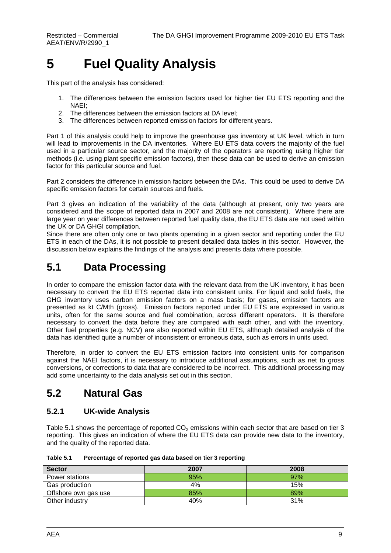# <span id="page-14-0"></span>**5 Fuel Quality Analysis**

This part of the analysis has considered:

- 1. The differences between the emission factors used for higher tier EU ETS reporting and the NAEI;
- 2. The differences between the emission factors at DA level;
- 3. The differences between reported emission factors for different years.

Part 1 of this analysis could help to improve the greenhouse gas inventory at UK level, which in turn will lead to improvements in the DA inventories. Where EU ETS data covers the majority of the fuel used in a particular source sector, and the majority of the operators are reporting using higher tier methods (i.e. using plant specific emission factors), then these data can be used to derive an emission factor for this particular source and fuel.

Part 2 considers the difference in emission factors between the DAs. This could be used to derive DA specific emission factors for certain sources and fuels.

Part 3 gives an indication of the variability of the data (although at present, only two years are considered and the scope of reported data in 2007 and 2008 are not consistent). Where there are large year on year differences between reported fuel quality data, the EU ETS data are not used within the UK or DA GHGI compilation.

Since there are often only one or two plants operating in a given sector and reporting under the EU ETS in each of the DAs, it is not possible to present detailed data tables in this sector. However, the discussion below explains the findings of the analysis and presents data where possible.

### <span id="page-14-1"></span>**5.1 Data Processing**

In order to compare the emission factor data with the relevant data from the UK inventory, it has been necessary to convert the EU ETS reported data into consistent units. For liquid and solid fuels, the GHG inventory uses carbon emission factors on a mass basis; for gases, emission factors are presented as kt C/Mth (gross). Emission factors reported under EU ETS are expressed in various units, often for the same source and fuel combination, across different operators. It is therefore necessary to convert the data before they are compared with each other, and with the inventory. Other fuel properties (e.g. NCV) are also reported within EU ETS, although detailed analysis of the data has identified quite a number of inconsistent or erroneous data, such as errors in units used.

Therefore, in order to convert the EU ETS emission factors into consistent units for comparison against the NAEI factors, it is necessary to introduce additional assumptions, such as net to gross conversions, or corrections to data that are considered to be incorrect. This additional processing may add some uncertainty to the data analysis set out in this section.

### <span id="page-14-2"></span>**5.2 Natural Gas**

#### **5.2.1 UK-wide Analysis**

Table 5.1 shows the percentage of reported  $CO<sub>2</sub>$  emissions within each sector that are based on tier 3 reporting. This gives an indication of where the EU ETS data can provide new data to the inventory, and the quality of the reported data.

| Table 5.1 | Percentage of reported gas data based on tier 3 reporting |
|-----------|-----------------------------------------------------------|
|-----------|-----------------------------------------------------------|

| <b>Sector</b>        | 2007 | 2008 |
|----------------------|------|------|
| Power stations       | 95%  | 97%  |
| Gas production       | 4%   | 15%  |
| Offshore own gas use | 85%  | 89%  |
| Other industry       | 40%  | 31%  |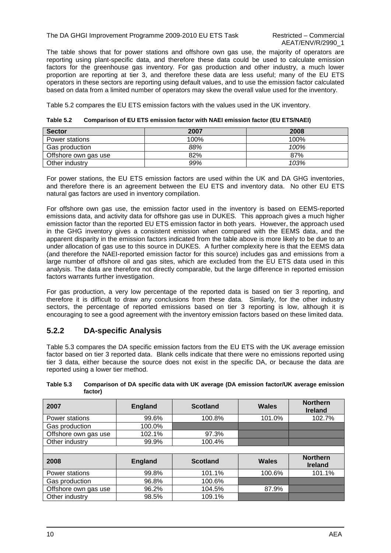#### The DA GHGI Improvement Programme 2009-2010 EU ETS Task Restricted – Commercial

The table shows that for power stations and offshore own gas use, the majority of operators are reporting using plant-specific data, and therefore these data could be used to calculate emission factors for the greenhouse gas inventory. For gas production and other industry, a much lower proportion are reporting at tier 3, and therefore these data are less useful; many of the EU ETS operators in these sectors are reporting using default values, and to use the emission factor calculated based on data from a limited number of operators may skew the overall value used for the inventory.

Table 5.2 compares the EU ETS emission factors with the values used in the UK inventory.

| <b>Sector</b>        | 2007 | 2008 |
|----------------------|------|------|
| Power stations       | 100% | 100% |
| Gas production       | 88%  | 100% |
| Offshore own gas use | 82%  | 87%  |
| Other industry       | 99%  | 103% |

**Table 5.2 Comparison of EU ETS emission factor with NAEI emission factor (EU ETS/NAEI)**

For power stations, the EU ETS emission factors are used within the UK and DA GHG inventories, and therefore there is an agreement between the EU ETS and inventory data. No other EU ETS natural gas factors are used in inventory compilation.

For offshore own gas use, the emission factor used in the inventory is based on EEMS-reported emissions data, and activity data for offshore gas use in DUKES. This approach gives a much higher emission factor than the reported EU ETS emission factor in both years. However, the approach used in the GHG inventory gives a consistent emission when compared with the EEMS data, and the apparent disparity in the emission factors indicated from the table above is more likely to be due to an under allocation of gas use to this source in DUKES. A further complexity here is that the EEMS data (and therefore the NAEI-reported emission factor for this source) includes gas and emissions from a large number of offshore oil and gas sites, which are excluded from the EU ETS data used in this analysis. The data are therefore not directly comparable, but the large difference in reported emission factors warrants further investigation.

For gas production, a very low percentage of the reported data is based on tier 3 reporting, and therefore it is difficult to draw any conclusions from these data. Similarly, for the other industry sectors, the percentage of reported emissions based on tier 3 reporting is low, although it is encouraging to see a good agreement with the inventory emission factors based on these limited data.

#### **5.2.2 DA-specific Analysis**

Table 5.3 compares the DA specific emission factors from the EU ETS with the UK average emission factor based on tier 3 reported data. Blank cells indicate that there were no emissions reported using tier 3 data, either because the source does not exist in the specific DA, or because the data are reported using a lower tier method.

**Table 5.3 Comparison of DA specific data with UK average (DA emission factor/UK average emission factor)**

| 2007                 | <b>England</b> | <b>Scotland</b> | Wales  | <b>Northern</b><br><b>Ireland</b> |
|----------------------|----------------|-----------------|--------|-----------------------------------|
| Power stations       | 99.6%          | 100.8%          | 101.0% | 102.7%                            |
| Gas production       | 100.0%         |                 |        |                                   |
| Offshore own gas use | 102.1%         | 97.3%           |        |                                   |
| Other industry       | 99.9%          | 100.4%          |        |                                   |
|                      |                |                 |        |                                   |
|                      |                |                 |        |                                   |

| 2008                 | <b>England</b> | <b>Scotland</b> | Wales  | <b>Northern</b><br><b>Ireland</b> |
|----------------------|----------------|-----------------|--------|-----------------------------------|
| Power stations       | 99.8%          | 101.1%          | 100.6% | 101.1%                            |
| Gas production       | 96.8%          | 100.6%          |        |                                   |
| Offshore own gas use | 96.2%          | 104.5%          | 87.9%  |                                   |
| Other industry       | 98.5%          | 109.1%          |        |                                   |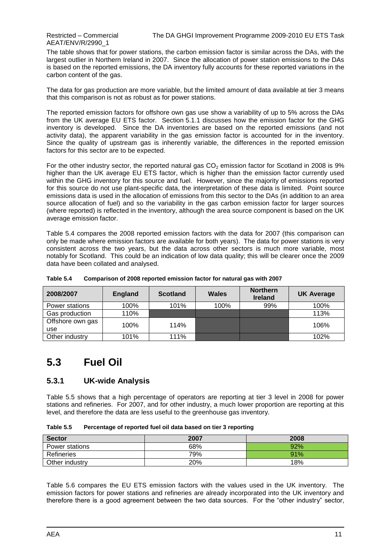AEAT/ENV/R/2990\_1

The table shows that for power stations, the carbon emission factor is similar across the DAs, with the largest outlier in Northern Ireland in 2007. Since the allocation of power station emissions to the DAs is based on the reported emissions, the DA inventory fully accounts for these reported variations in the carbon content of the gas.

The data for gas production are more variable, but the limited amount of data available at tier 3 means that this comparison is not as robust as for power stations.

The reported emission factors for offshore own gas use show a variability of up to 5% across the DAs from the UK average EU ETS factor. Section 5.1.1 discusses how the emission factor for the GHG inventory is developed. Since the DA inventories are based on the reported emissions (and not activity data), the apparent variability in the gas emission factor is accounted for in the inventory. Since the quality of upstream gas is inherently variable, the differences in the reported emission factors for this sector are to be expected.

For the other industry sector, the reported natural gas  $CO<sub>2</sub>$  emission factor for Scotland in 2008 is 9% higher than the UK average EU ETS factor, which is higher than the emission factor currently used within the GHG inventory for this source and fuel. However, since the majority of emissions reported for this source do not use plant-specific data, the interpretation of these data is limited. Point source emissions data is used in the allocation of emissions from this sector to the DAs (in addition to an area source allocation of fuel) and so the variability in the gas carbon emission factor for larger sources (where reported) is reflected in the inventory, although the area source component is based on the UK average emission factor.

Table 5.4 compares the 2008 reported emission factors with the data for 2007 (this comparison can only be made where emission factors are available for both years). The data for power stations is very consistent across the two years, but the data across other sectors is much more variable, most notably for Scotland. This could be an indication of low data quality; this will be clearer once the 2009 data have been collated and analysed.

| 2008/2007               | <b>England</b> | <b>Scotland</b> | <b>Wales</b> | <b>Northern</b><br><b>Ireland</b> | <b>UK Average</b> |
|-------------------------|----------------|-----------------|--------------|-----------------------------------|-------------------|
| Power stations          | 100%           | 101%            | 100%         | 99%                               | 100%              |
| Gas production          | 110%           |                 |              |                                   | 113%              |
| Offshore own gas<br>use | 100%           | 114%            |              |                                   | 106%              |
| Other industry          | 101%           | 111%            |              |                                   | 102%              |

**Table 5.4 Comparison of 2008 reported emission factor for natural gas with 2007**

### <span id="page-16-0"></span>**5.3 Fuel Oil**

#### **5.3.1 UK-wide Analysis**

Table 5.5 shows that a high percentage of operators are reporting at tier 3 level in 2008 for power stations and refineries. For 2007, and for other industry, a much lower proportion are reporting at this level, and therefore the data are less useful to the greenhouse gas inventory.

| Table 5.5 | Percentage of reported fuel oil data based on tier 3 reporting |
|-----------|----------------------------------------------------------------|
|-----------|----------------------------------------------------------------|

| <b>Sector</b>  | 2007 | 2008 |
|----------------|------|------|
| Power stations | 68%  | 92%  |
| Refineries     | 79%  | 91%  |
| Other industry | 20%  | 18%  |

Table 5.6 compares the EU ETS emission factors with the values used in the UK inventory. The emission factors for power stations and refineries are already incorporated into the UK inventory and therefore there is a good agreement between the two data sources. For the "other industry" sector,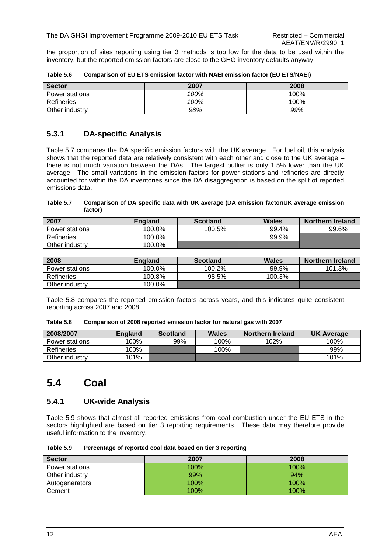the proportion of sites reporting using tier 3 methods is too low for the data to be used within the inventory, but the reported emission factors are close to the GHG inventory defaults anyway.

| <b>Sector</b>  | 2007 | 2008 |
|----------------|------|------|
| Power stations | 100% | 100% |
| Refineries     | 100% | 100% |
| Other industry | 98%  | 99%  |

**Table 5.6 Comparison of EU ETS emission factor with NAEI emission factor (EU ETS/NAEI)**

#### **5.3.1 DA-specific Analysis**

Table 5.7 compares the DA specific emission factors with the UK average. For fuel oil, this analysis shows that the reported data are relatively consistent with each other and close to the UK average – there is not much variation between the DAs. The largest outlier is only 1.5% lower than the UK average. The small variations in the emission factors for power stations and refineries are directly accounted for within the DA inventories since the DA disaggregation is based on the split of reported emissions data.

#### **Table 5.7 Comparison of DA specific data with UK average (DA emission factor/UK average emission factor)**

| 2007              | <b>England</b> | <b>Scotland</b> | <b>Wales</b> | <b>Northern Ireland</b> |
|-------------------|----------------|-----------------|--------------|-------------------------|
| Power stations    | 100.0%         | 100.5%          | 99.4%        | 99.6%                   |
| <b>Refineries</b> | 100.0%         |                 | 99.9%        |                         |
| Other industry    | 100.0%         |                 |              |                         |
|                   |                |                 |              |                         |
| 2008              | <b>England</b> | <b>Scotland</b> | Wales        | <b>Northern Ireland</b> |
| Power stations    | 100.0%         | 100.2%          | 99.9%        | 101.3%                  |
| <b>Refineries</b> | 100.8%         | 98.5%           | 100.3%       |                         |
| Other industry    | 100.0%         |                 |              |                         |

Table 5.8 compares the reported emission factors across years, and this indicates quite consistent reporting across 2007 and 2008.

| Table 5.8 |  |  | Comparison of 2008 reported emission factor for natural gas with 2007 |  |  |
|-----------|--|--|-----------------------------------------------------------------------|--|--|
|-----------|--|--|-----------------------------------------------------------------------|--|--|

| 2008/2007      | England | <b>Scotland</b> | <b>Wales</b> | <b>Northern Ireland</b> | <b>UK Average</b> |
|----------------|---------|-----------------|--------------|-------------------------|-------------------|
| Power stations | 100%    | 99%             | 100%         | 102%                    | 100%              |
| Refineries     | 100%    |                 | 100%         |                         | 99%               |
| Other industry | 101%    |                 |              |                         | 101%              |

### <span id="page-17-0"></span>**5.4 Coal**

#### **5.4.1 UK-wide Analysis**

Table 5.9 shows that almost all reported emissions from coal combustion under the EU ETS in the sectors highlighted are based on tier 3 reporting requirements. These data may therefore provide useful information to the inventory.

**Table 5.9 Percentage of reported coal data based on tier 3 reporting**

| <b>Sector</b>  | 2007 | 2008 |
|----------------|------|------|
| Power stations | 100% | 100% |
| Other industry | 99%  | 94%  |
| Autogenerators | 100% | 100% |
| Cement         | 100% | 100% |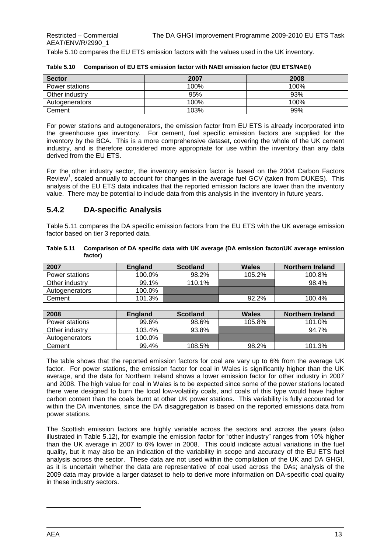Table 5.10 compares the EU ETS emission factors with the values used in the UK inventory.

| <b>Sector</b>  | 2007 | 2008 |
|----------------|------|------|
| Power stations | 100% | 100% |
| Other industry | 95%  | 93%  |
| Autogenerators | 100% | 100% |
| Cement         | 103% | 99%  |

| Table 5.10 Comparison of EU ETS emission factor with NAEI emission factor (EU ETS/NAEI) |  |
|-----------------------------------------------------------------------------------------|--|
|-----------------------------------------------------------------------------------------|--|

For power stations and autogenerators, the emission factor from EU ETS is already incorporated into the greenhouse gas inventory. For cement, fuel specific emission factors are supplied for the inventory by the BCA. This is a more comprehensive dataset, covering the whole of the UK cement industry, and is therefore considered more appropriate for use within the inventory than any data derived from the EU ETS.

For the other industry sector, the inventory emission factor is based on the 2004 Carbon Factors Review<sup>1</sup>, scaled annually to account for changes in the average fuel GCV (taken from DUKES). This analysis of the EU ETS data indicates that the reported emission factors are lower than the inventory value. There may be potential to include data from this analysis in the inventory in future years.

#### **5.4.2 DA-specific Analysis**

Table 5.11 compares the DA specific emission factors from the EU ETS with the UK average emission factor based on tier 3 reported data.

| 2007           | <b>England</b> | <b>Scotland</b> | <b>Wales</b> | <b>Northern Ireland</b> |
|----------------|----------------|-----------------|--------------|-------------------------|
| Power stations | 100.0%         | 98.2%           | 105.2%       | 100.8%                  |
| Other industry | 99.1%          | 110.1%          |              | 98.4%                   |
| Autogenerators | 100.0%         |                 |              |                         |
| Cement         | 101.3%         |                 | 92.2%        | 100.4%                  |
|                |                |                 |              |                         |
| 2008           | <b>England</b> | <b>Scotland</b> | <b>Wales</b> | <b>Northern Ireland</b> |
| Power stations | 99.6%          | 98.6%           | 105.8%       | 101.0%                  |
| Other industry | 103.4%         | 93.8%           |              | 94.7%                   |
| Autogenerators | 100.0%         |                 |              |                         |
| Cement         | 99.4%          | 108.5%          | 98.2%        | 101.3%                  |

**Table 5.11 Comparison of DA specific data with UK average (DA emission factor/UK average emission factor)**

The table shows that the reported emission factors for coal are vary up to 6% from the average UK factor. For power stations, the emission factor for coal in Wales is significantly higher than the UK average, and the data for Northern Ireland shows a lower emission factor for other industry in 2007 and 2008. The high value for coal in Wales is to be expected since some of the power stations located there were designed to burn the local low-volatility coals, and coals of this type would have higher carbon content than the coals burnt at other UK power stations. This variability is fully accounted for within the DA inventories, since the DA disaggregation is based on the reported emissions data from power stations.

The Scottish emission factors are highly variable across the sectors and across the years (also illustrated in Table 5.12), for example the emission factor for "other industry" ranges from 10% higher than the UK average in 2007 to 6% lower in 2008. This could indicate actual variations in the fuel quality, but it may also be an indication of the variability in scope and accuracy of the EU ETS fuel analysis across the sector. These data are not used within the compilation of the UK and DA GHGI, as it is uncertain whether the data are representative of coal used across the DAs; analysis of the 2009 data may provide a larger dataset to help to derive more information on DA-specific coal quality in these industry sectors.

l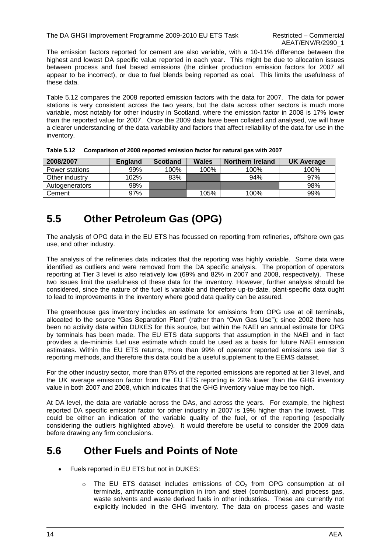The DA GHGI Improvement Programme 2009-2010 EU ETS Task Restricted – Commercial

The emission factors reported for cement are also variable, with a 10-11% difference between the highest and lowest DA specific value reported in each year. This might be due to allocation issues between process and fuel based emissions (the clinker production emission factors for 2007 all appear to be incorrect), or due to fuel blends being reported as coal. This limits the usefulness of these data.

Table 5.12 compares the 2008 reported emission factors with the data for 2007. The data for power stations is very consistent across the two years, but the data across other sectors is much more variable, most notably for other industry in Scotland, where the emission factor in 2008 is 17% lower than the reported value for 2007. Once the 2009 data have been collated and analysed, we will have a clearer understanding of the data variability and factors that affect reliability of the data for use in the inventory.

| 2008/2007      | <b>England</b> | <b>Scotland</b> | Wales | <b>Northern Ireland</b> | <b>UK Average</b> |
|----------------|----------------|-----------------|-------|-------------------------|-------------------|
| Power stations | 99%            | 100%            | 100%  | 100%                    | 100%              |
| Other industry | 102%           | 83%             |       | 94%                     | 97%               |
| Autogenerators | 98%            |                 |       |                         | 98%               |
| Cement         | 97%            |                 | 105%  | 100%                    | 99%               |

|  | Table 5.12 Comparison of 2008 reported emission factor for natural gas with 2007 |  |
|--|----------------------------------------------------------------------------------|--|
|  |                                                                                  |  |

### <span id="page-19-0"></span>**5.5 Other Petroleum Gas (OPG)**

The analysis of OPG data in the EU ETS has focussed on reporting from refineries, offshore own gas use, and other industry.

The analysis of the refineries data indicates that the reporting was highly variable. Some data were identified as outliers and were removed from the DA specific analysis. The proportion of operators reporting at Tier 3 level is also relatively low (69% and 82% in 2007 and 2008, respectively). These two issues limit the usefulness of these data for the inventory. However, further analysis should be considered, since the nature of the fuel is variable and therefore up-to-date, plant-specific data ought to lead to improvements in the inventory where good data quality can be assured.

The greenhouse gas inventory includes an estimate for emissions from OPG use at oil terminals, allocated to the source "Gas Separation Plant" (rather than "Own Gas Use"); since 2002 there has been no activity data within DUKES for this source, but within the NAEI an annual estimate for OPG by terminals has been made. The EU ETS data supports that assumption in the NAEI and in fact provides a de-minimis fuel use estimate which could be used as a basis for future NAEI emission estimates. Within the EU ETS returns, more than 99% of operator reported emissions use tier 3 reporting methods, and therefore this data could be a useful supplement to the EEMS dataset.

For the other industry sector, more than 87% of the reported emissions are reported at tier 3 level, and the UK average emission factor from the EU ETS reporting is 22% lower than the GHG inventory value in both 2007 and 2008, which indicates that the GHG inventory value may be too high.

At DA level, the data are variable across the DAs, and across the years. For example, the highest reported DA specific emission factor for other industry in 2007 is 19% higher than the lowest. This could be either an indication of the variable quality of the fuel, or of the reporting (especially considering the outliers highlighted above). It would therefore be useful to consider the 2009 data before drawing any firm conclusions.

### <span id="page-19-1"></span>**5.6 Other Fuels and Points of Note**

- Fuels reported in EU ETS but not in DUKES:
	- $\circ$  The EU ETS dataset includes emissions of CO<sub>2</sub> from OPG consumption at oil terminals, anthracite consumption in iron and steel (combustion), and process gas, waste solvents and waste derived fuels in other industries. These are currently not explicitly included in the GHG inventory. The data on process gases and waste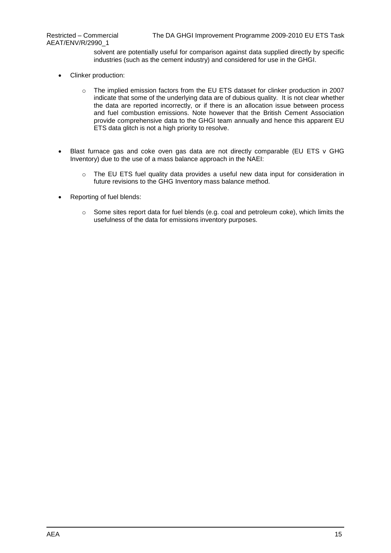AEAT/ENV/R/2990\_1

solvent are potentially useful for comparison against data supplied directly by specific industries (such as the cement industry) and considered for use in the GHGI.

- Clinker production:
	- o The implied emission factors from the EU ETS dataset for clinker production in 2007 indicate that some of the underlying data are of dubious quality. It is not clear whether the data are reported incorrectly, or if there is an allocation issue between process and fuel combustion emissions. Note however that the British Cement Association provide comprehensive data to the GHGI team annually and hence this apparent EU ETS data glitch is not a high priority to resolve.
- Blast furnace gas and coke oven gas data are not directly comparable (EU ETS v GHG Inventory) due to the use of a mass balance approach in the NAEI:
	- $\circ$  The EU ETS fuel quality data provides a useful new data input for consideration in future revisions to the GHG Inventory mass balance method.
- Reporting of fuel blends:
	- $\circ$  Some sites report data for fuel blends (e.g. coal and petroleum coke), which limits the usefulness of the data for emissions inventory purposes.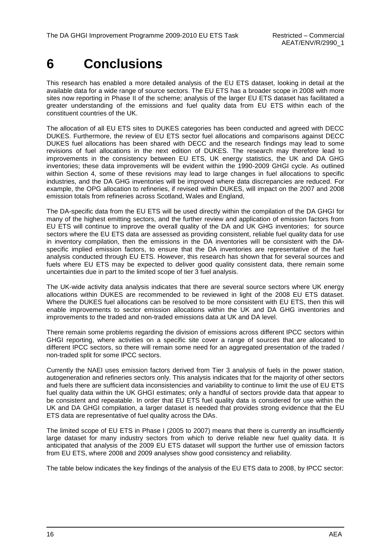# <span id="page-21-0"></span>**6 Conclusions**

This research has enabled a more detailed analysis of the EU ETS dataset, looking in detail at the available data for a wide range of source sectors. The EU ETS has a broader scope in 2008 with more sites now reporting in Phase II of the scheme; analysis of the larger EU ETS dataset has facilitated a greater understanding of the emissions and fuel quality data from EU ETS within each of the constituent countries of the UK.

The allocation of all EU ETS sites to DUKES categories has been conducted and agreed with DECC DUKES. Furthermore, the review of EU ETS sector fuel allocations and comparisons against DECC DUKES fuel allocations has been shared with DECC and the research findings may lead to some revisions of fuel allocations in the next edition of DUKES. The research may therefore lead to improvements in the consistency between EU ETS, UK energy statistics, the UK and DA GHG inventories; these data improvements will be evident within the 1990-2009 GHGI cycle. As outlined within Section 4, some of these revisions may lead to large changes in fuel allocations to specific industries, and the DA GHG inventories will be improved where data discrepancies are reduced. For example, the OPG allocation to refineries, if revised within DUKES, will impact on the 2007 and 2008 emission totals from refineries across Scotland, Wales and England,

The DA-specific data from the EU ETS will be used directly within the compilation of the DA GHGI for many of the highest emitting sectors, and the further review and application of emission factors from EU ETS will continue to improve the overall quality of the DA and UK GHG inventories; for source sectors where the EU ETS data are assessed as providing consistent, reliable fuel quality data for use in inventory compilation, then the emissions in the DA inventories will be consistent with the DAspecific implied emission factors, to ensure that the DA inventories are representative of the fuel analysis conducted through EU ETS. However, this research has shown that for several sources and fuels where EU ETS may be expected to deliver good quality consistent data, there remain some uncertainties due in part to the limited scope of tier 3 fuel analysis.

The UK-wide activity data analysis indicates that there are several source sectors where UK energy allocations within DUKES are recommended to be reviewed in light of the 2008 EU ETS dataset. Where the DUKES fuel allocations can be resolved to be more consistent with EU ETS, then this will enable improvements to sector emission allocations within the UK and DA GHG inventories and improvements to the traded and non-traded emissions data at UK and DA level.

There remain some problems regarding the division of emissions across different IPCC sectors within GHGI reporting, where activities on a specific site cover a range of sources that are allocated to different IPCC sectors, so there will remain some need for an aggregated presentation of the traded / non-traded split for some IPCC sectors.

Currently the NAEI uses emission factors derived from Tier 3 analysis of fuels in the power station, autogeneration and refineries sectors only. This analysis indicates that for the majority of other sectors and fuels there are sufficient data inconsistencies and variability to continue to limit the use of EU ETS fuel quality data within the UK GHGI estimates; only a handful of sectors provide data that appear to be consistent and repeatable. In order that EU ETS fuel quality data is considered for use within the UK and DA GHGI compilation, a larger dataset is needed that provides strong evidence that the EU ETS data are representative of fuel quality across the DAs.

The limited scope of EU ETS in Phase I (2005 to 2007) means that there is currently an insufficiently large dataset for many industry sectors from which to derive reliable new fuel quality data. It is anticipated that analysis of the 2009 EU ETS dataset will support the further use of emission factors from EU ETS, where 2008 and 2009 analyses show good consistency and reliability.

The table below indicates the key findings of the analysis of the EU ETS data to 2008, by IPCC sector: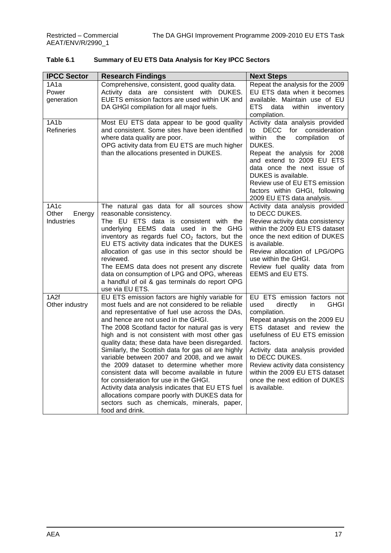| Table 6.1 | <b>Summary of EU ETS Data Analysis for Key IPCC Sectors</b> |
|-----------|-------------------------------------------------------------|
|-----------|-------------------------------------------------------------|

| <b>IPCC Sector</b>                                 | <b>Research Findings</b>                                                                                                                                                                                                                                                                                                                                                                                                                                                                                                                                                                                                                                                                                                                                                         | <b>Next Steps</b>                                                                                                                                                                                                                                                                                                                                                               |
|----------------------------------------------------|----------------------------------------------------------------------------------------------------------------------------------------------------------------------------------------------------------------------------------------------------------------------------------------------------------------------------------------------------------------------------------------------------------------------------------------------------------------------------------------------------------------------------------------------------------------------------------------------------------------------------------------------------------------------------------------------------------------------------------------------------------------------------------|---------------------------------------------------------------------------------------------------------------------------------------------------------------------------------------------------------------------------------------------------------------------------------------------------------------------------------------------------------------------------------|
| 1A1a<br>Power<br>generation                        | Comprehensive, consistent, good quality data.<br>Activity data are consistent with DUKES.<br>EUETS emission factors are used within UK and<br>DA GHGI compilation for all major fuels.                                                                                                                                                                                                                                                                                                                                                                                                                                                                                                                                                                                           | Repeat the analysis for the 2009<br>EU ETS data when it becomes<br>available. Maintain use of EU<br>ETS.<br>data<br>within<br>inventory<br>compilation.                                                                                                                                                                                                                         |
| 1A1b<br>Refineries                                 | Most EU ETS data appear to be good quality<br>and consistent. Some sites have been identified<br>where data quality are poor.<br>OPG activity data from EU ETS are much higher<br>than the allocations presented in DUKES.                                                                                                                                                                                                                                                                                                                                                                                                                                                                                                                                                       | Activity data analysis provided<br>to DECC for consideration<br>within<br>compilation<br>the<br>0f<br>DUKES.<br>Repeat the analysis for 2008<br>and extend to 2009 EU ETS<br>data once the next issue of<br>DUKES is available.<br>Review use of EU ETS emission<br>factors within GHGI, following<br>2009 EU ETS data analysis.                                                |
| 1A <sub>1</sub> c<br>Other<br>Energy<br>Industries | The natural gas data for all sources show<br>reasonable consistency.<br>The EU ETS data is consistent with the<br>underlying EEMS data used in the GHG<br>inventory as regards fuel $CO2$ factors, but the<br>EU ETS activity data indicates that the DUKES<br>allocation of gas use in this sector should be<br>reviewed.<br>The EEMS data does not present any discrete<br>data on consumption of LPG and OPG, whereas<br>a handful of oil & gas terminals do report OPG<br>use via EU ETS.                                                                                                                                                                                                                                                                                    | Activity data analysis provided<br>to DECC DUKES.<br>Review activity data consistency<br>within the 2009 EU ETS dataset<br>once the next edition of DUKES<br>is available.<br>Review allocation of LPG/OPG<br>use within the GHGI.<br>Review fuel quality data from<br>EEMS and EU ETS.                                                                                         |
| 1A2f<br>Other industry                             | EU ETS emission factors are highly variable for<br>most fuels and are not considered to be reliable<br>and representative of fuel use across the DAs,<br>and hence are not used in the GHGI.<br>The 2008 Scotland factor for natural gas is very<br>high and is not consistent with most other gas<br>quality data; these data have been disregarded.<br>Similarly, the Scottish data for gas oil are highly<br>variable between 2007 and 2008, and we await<br>the 2009 dataset to determine whether more<br>consistent data will become available in future<br>for consideration for use in the GHGI.<br>Activity data analysis indicates that EU ETS fuel<br>allocations compare poorly with DUKES data for<br>sectors such as chemicals, minerals, paper,<br>food and drink. | EU ETS emission factors not<br>directly<br><b>GHGI</b><br>used<br>in<br>compilation.<br>Repeat analysis on the 2009 EU<br>ETS dataset and review the<br>usefulness of EU ETS emission<br>factors.<br>Activity data analysis provided<br>to DECC DUKES.<br>Review activity data consistency<br>within the 2009 EU ETS dataset<br>once the next edition of DUKES<br>is available. |